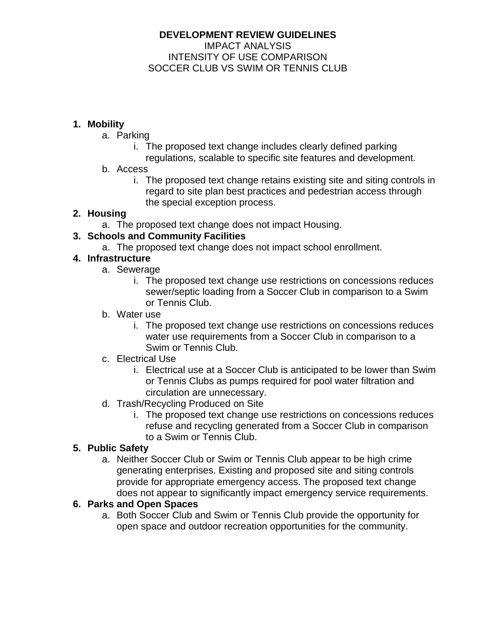### **DEVELOPMENT REVIEW GUIDELINES** IMPACT ANALYSIS INTENSITY OF USE COMPARISON SOCCER CLUB VS SWIM OR TENNIS CLUB

# **1. Mobility**

- a. Parking
	- i. The proposed text change includes clearly defined parking regulations, scalable to specific site features and development.
- b. Access
	- i. The proposed text change retains existing site and siting controls in regard to site plan best practices and pedestrian access through the special exception process.

# **2. Housing**

a. The proposed text change does not impact Housing.

# **3. Schools and Community Facilities**

a. The proposed text change does not impact school enrollment.

# **4. Infrastructure**

- a. Sewerage
	- i. The proposed text change use restrictions on concessions reduces sewer/septic loading from a Soccer Club in comparison to a Swim or Tennis Club.
- b. Water use
	- i. The proposed text change use restrictions on concessions reduces water use requirements from a Soccer Club in comparison to a Swim or Tennis Club.
- c. Electrical Use
	- i. Electrical use at a Soccer Club is anticipated to be lower than Swim or Tennis Clubs as pumps required for pool water filtration and circulation are unnecessary.
- d. Trash/Recycling Produced on Site
	- i. The proposed text change use restrictions on concessions reduces refuse and recycling generated from a Soccer Club in comparison to a Swim or Tennis Club.

## **5. Public Safety**

a. Neither Soccer Club or Swim or Tennis Club appear to be high crime generating enterprises. Existing and proposed site and siting controls provide for appropriate emergency access. The proposed text change does not appear to significantly impact emergency service requirements.

#### **6. Parks and Open Spaces**

a. Both Soccer Club and Swim or Tennis Club provide the opportunity for open space and outdoor recreation opportunities for the community.